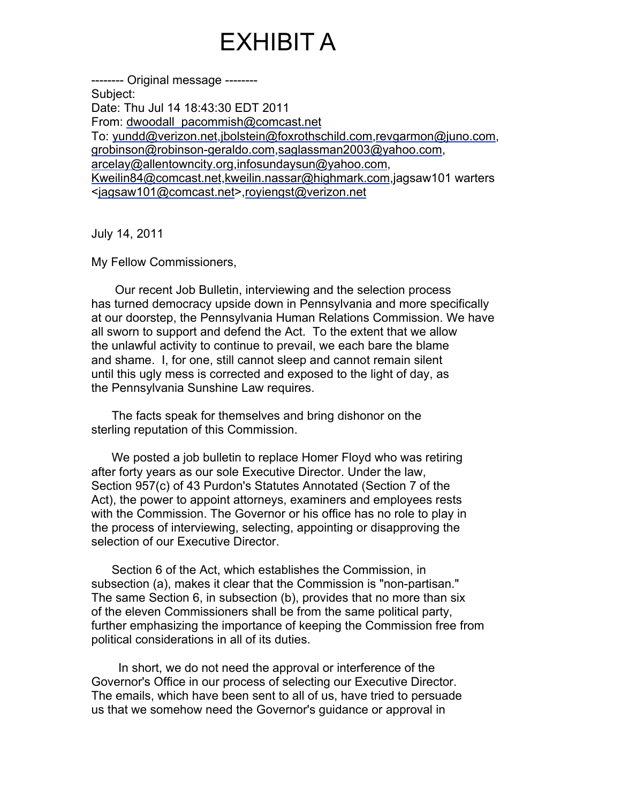## EXHIBIT A

-------- Original message -------- Subject: Date: Thu Jul 14 18:43:30 EDT 2011 From: dwoodall\_pacommish@comcast.net To: yundd@verizon.net,jbolstein@foxrothschild.com,revgarmon@juno.com, grobinson@robinson-geraldo.com,saglassman2003@yahoo.com, arcelay@allentowncity.org,infosundaysun@yahoo.com, Kweilin84@comcast.net,kweilin.nassar@highmark.com,jagsaw101 warters <jagsaw101@comcast.net>,royiengst@verizon.net

July 14, 2011

My Fellow Commissioners,

Our recent Job Bulletin, interviewing and the selection process has turned democracy upside down in Pennsylvania and more specifically at our doorstep, the Pennsylvania Human Relations Commission. We have all sworn to support and defend the Act. To the extent that we allow the unlawful activity to continue to prevail, we each bare the blame and shame. I, for one, still cannot sleep and cannot remain silent until this ugly mess is corrected and exposed to the light of day, as the Pennsylvania Sunshine Law requires.

 The facts speak for themselves and bring dishonor on the sterling reputation of this Commission.

 We posted a job bulletin to replace Homer Floyd who was retiring after forty years as our sole Executive Director. Under the law, Section 957(c) of 43 Purdon's Statutes Annotated (Section 7 of the Act), the power to appoint attorneys, examiners and employees rests with the Commission. The Governor or his office has no role to play in the process of interviewing, selecting, appointing or disapproving the selection of our Executive Director.

 Section 6 of the Act, which establishes the Commission, in subsection (a), makes it clear that the Commission is "non-partisan." The same Section 6, in subsection (b), provides that no more than six of the eleven Commissioners shall be from the same political party, further emphasizing the importance of keeping the Commission free from political considerations in all of its duties.

 In short, we do not need the approval or interference of the Governor's Office in our process of selecting our Executive Director. The emails, which have been sent to all of us, have tried to persuade us that we somehow need the Governor's guidance or approval in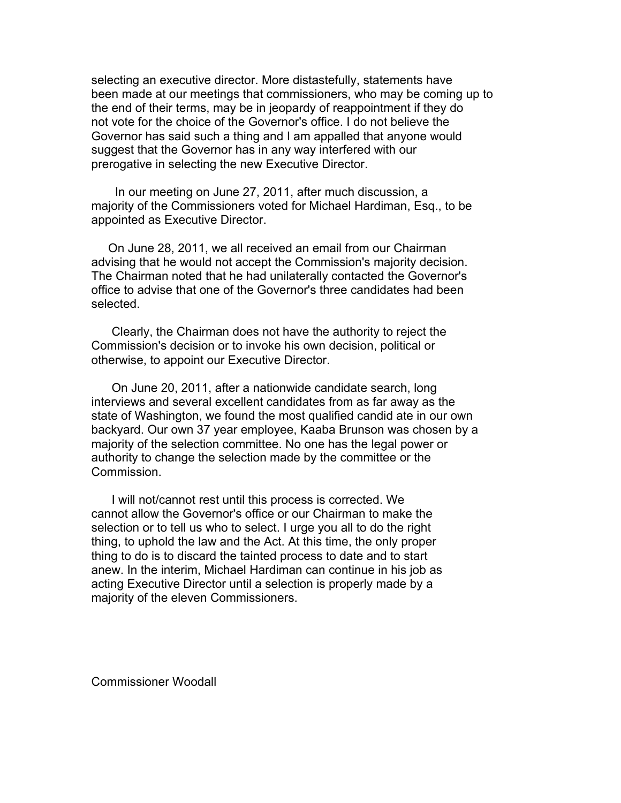selecting an executive director. More distastefully, statements have been made at our meetings that commissioners, who may be coming up to the end of their terms, may be in jeopardy of reappointment if they do not vote for the choice of the Governor's office. I do not believe the Governor has said such a thing and I am appalled that anyone would suggest that the Governor has in any way interfered with our prerogative in selecting the new Executive Director.

In our meeting on June 27, 2011, after much discussion, a majority of the Commissioners voted for Michael Hardiman, Esq., to be appointed as Executive Director.

On June 28, 2011, we all received an email from our Chairman advising that he would not accept the Commission's majority decision. The Chairman noted that he had unilaterally contacted the Governor's office to advise that one of the Governor's three candidates had been selected.

 Clearly, the Chairman does not have the authority to reject the Commission's decision or to invoke his own decision, political or otherwise, to appoint our Executive Director.

 On June 20, 2011, after a nationwide candidate search, long interviews and several excellent candidates from as far away as the state of Washington, we found the most qualified candid ate in our own backyard. Our own 37 year employee, Kaaba Brunson was chosen by a majority of the selection committee. No one has the legal power or authority to change the selection made by the committee or the Commission.

 I will not/cannot rest until this process is corrected. We cannot allow the Governor's office or our Chairman to make the selection or to tell us who to select. I urge you all to do the right thing, to uphold the law and the Act. At this time, the only proper thing to do is to discard the tainted process to date and to start anew. In the interim, Michael Hardiman can continue in his job as acting Executive Director until a selection is properly made by a majority of the eleven Commissioners.

Commissioner Woodall